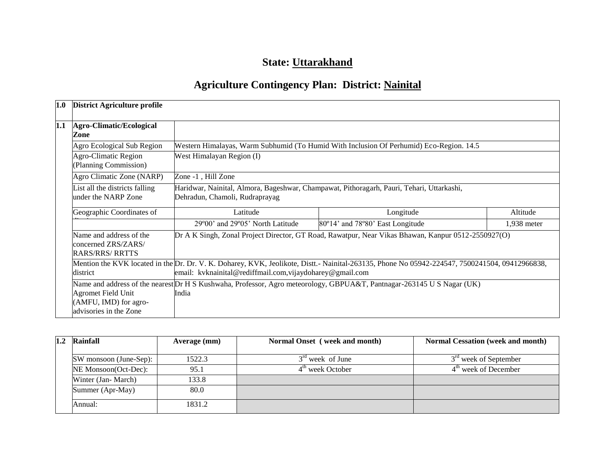## **State: Uttarakhand**

# **Agriculture Contingency Plan: District: Nainital**

| 1.0                                     | <b>District Agriculture profile</b>                                          |                                                                                                                                 |                                                                                                                                                                                                             |             |  |  |  |
|-----------------------------------------|------------------------------------------------------------------------------|---------------------------------------------------------------------------------------------------------------------------------|-------------------------------------------------------------------------------------------------------------------------------------------------------------------------------------------------------------|-------------|--|--|--|
| 1.1<br>Agro-Climatic/Ecological<br>Zone |                                                                              |                                                                                                                                 |                                                                                                                                                                                                             |             |  |  |  |
|                                         | Agro Ecological Sub Region                                                   | Western Himalayas, Warm Subhumid (To Humid With Inclusion Of Perhumid) Eco-Region. 14.5                                         |                                                                                                                                                                                                             |             |  |  |  |
|                                         | Agro-Climatic Region<br>(Planning Commission)                                | West Himalayan Region (I)                                                                                                       |                                                                                                                                                                                                             |             |  |  |  |
|                                         | Agro Climatic Zone (NARP)                                                    | Zone -1, Hill Zone                                                                                                              |                                                                                                                                                                                                             |             |  |  |  |
|                                         | List all the districts falling<br>under the NARP Zone                        | Haridwar, Nainital, Almora, Bageshwar, Champawat, Pithoragarh, Pauri, Tehari, Uttarkashi,<br>Dehradun, Chamoli, Rudraprayag     |                                                                                                                                                                                                             |             |  |  |  |
|                                         | Geographic Coordinates of                                                    | Latitude                                                                                                                        | Longitude                                                                                                                                                                                                   | Altitude    |  |  |  |
|                                         |                                                                              | 29°00' and 29°05' North Latitude                                                                                                | 80°14' and 78°80' East Longitude                                                                                                                                                                            | 1,938 meter |  |  |  |
|                                         | Name and address of the<br>concerned ZRS/ZARS/<br>RARS/RRS/ RRTTS            | Dr A K Singh, Zonal Project Director, GT Road, Rawatpur, Near Vikas Bhawan, Kanpur 0512-2550927(O)                              |                                                                                                                                                                                                             |             |  |  |  |
|                                         | district                                                                     |                                                                                                                                 | Mention the KVK located in the Dr. Dr. V. K. Doharey, KVK, Jeolikote, Distt.- Nainital-263135, Phone No 05942-224547, 7500241504, 09412966838,<br>email: kvknainital@rediffmail.com, vijaydoharey@gmail.com |             |  |  |  |
|                                         | <b>Agromet Field Unit</b><br>(AMFU, IMD) for agro-<br>advisories in the Zone | Name and address of the nearest Dr H S Kushwaha, Professor, Agro meteorology, GBPUA&T, Pantnagar-263145 U S Nagar (UK)<br>India |                                                                                                                                                                                                             |             |  |  |  |

| Rainfall               | Average (mm) | Normal Onset (week and month) | <b>Normal Cessation (week and month)</b> |
|------------------------|--------------|-------------------------------|------------------------------------------|
| SW monsoon (June-Sep): | 1522.3       | $3rd$ week of June            | 3 <sup>rd</sup> week of September        |
|                        |              |                               |                                          |
| NE Monsoon(Oct-Dec):   | 95.1         | $4th$ week October            | $4th$ week of December                   |
| Winter (Jan-March)     | 133.8        |                               |                                          |
| Summer (Apr-May)       | 80.0         |                               |                                          |
| Annual:                | 1831.2       |                               |                                          |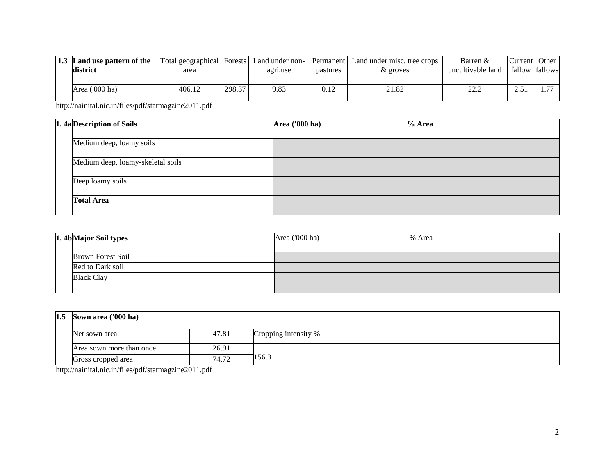| 1.3 | Land use pattern of the<br>district | Total geographical   Forests   Land under non-<br>area |        | agri.use | pastures | <b>Permanent</b> Land under misc. tree crops<br>& groves | Barren &<br>uncultivable land | Current   Other<br>fallow fallows |                          |
|-----|-------------------------------------|--------------------------------------------------------|--------|----------|----------|----------------------------------------------------------|-------------------------------|-----------------------------------|--------------------------|
|     | Area ('000 ha)                      | 406.12                                                 | 298.37 | 9.83     | 0.12     | 21.82                                                    | າາ າ<br>44.L                  | ر ب                               | $\overline{\phantom{m}}$ |

http://nainital.nic.in/files/pdf/statmagzine2011.pdf

|  | 1. 4a Description of Soils        | <b>Area</b> ('000 ha) | % Area |
|--|-----------------------------------|-----------------------|--------|
|  | Medium deep, loamy soils          |                       |        |
|  | Medium deep, loamy-skeletal soils |                       |        |
|  | Deep loamy soils                  |                       |        |
|  | <b>Total Area</b>                 |                       |        |

|  | 1. 4b Major Soil types   | Area ('000 ha) | % Area |
|--|--------------------------|----------------|--------|
|  | <b>Brown Forest Soil</b> |                |        |
|  | Red to Dark soil         |                |        |
|  | <b>Black Clay</b>        |                |        |
|  |                          |                |        |

| $1.5$ Sown area ('000 ha) |                          |       |                      |
|---------------------------|--------------------------|-------|----------------------|
|                           | Net sown area            | 47.81 | Cropping intensity % |
|                           | Area sown more than once | 26.91 |                      |
|                           | Gross cropped area       | 74.72 | 156.3                |

http://nainital.nic.in/files/pdf/statmagzine2011.pdf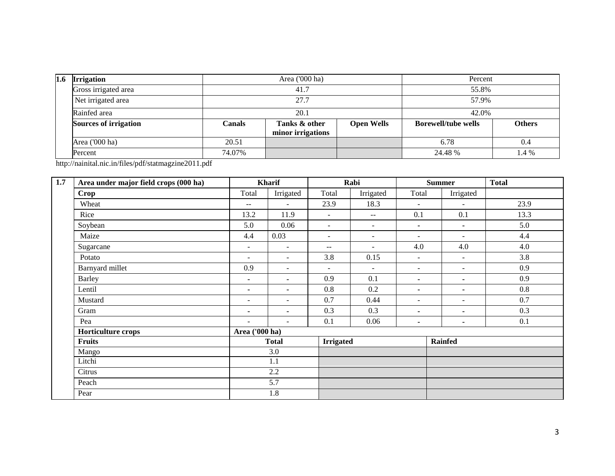| 1.6 | <b>Irrigation</b>     | Area ('000 ha) |                                    |                   | Percent                    |               |  |
|-----|-----------------------|----------------|------------------------------------|-------------------|----------------------------|---------------|--|
|     | Gross irrigated area  | 41.7           |                                    |                   | 55.8%                      |               |  |
|     | Net irrigated area    | 27.7           |                                    |                   | 57.9%                      |               |  |
|     | Rainfed area          | 20.1           |                                    |                   | 42.0%                      |               |  |
|     | Sources of irrigation | Canals         | Tanks & other<br>minor irrigations | <b>Open Wells</b> | <b>Borewell/tube wells</b> | <b>Others</b> |  |
|     | Area ('000 ha)        | 20.51          |                                    |                   | 6.78                       | 0.4           |  |
|     | Percent               | 74.07%         |                                    |                   | 24.48 %                    | 1.4 %         |  |

http://nainital.nic.in/files/pdf/statmagzine2011.pdf

| 1.7 | Area under major field crops (000 ha) | <b>Kharif</b>            |                          |                          | Rabi           |                          | <b>Summer</b>            | <b>Total</b> |
|-----|---------------------------------------|--------------------------|--------------------------|--------------------------|----------------|--------------------------|--------------------------|--------------|
|     | Crop                                  | Total                    | Irrigated                | Total                    | Irrigated      | Total                    | Irrigated                |              |
|     | Wheat                                 | $--$                     | $\sim$                   | 23.9                     | 18.3           | $\overline{\phantom{a}}$ | $\blacksquare$           | 23.9         |
|     | Rice                                  | 13.2                     | 11.9                     | $\blacksquare$           | $- -$          | 0.1                      | 0.1                      | 13.3         |
|     | Soybean                               | 5.0                      | 0.06                     | $\overline{\phantom{a}}$ | $\blacksquare$ | $\blacksquare$           | $\blacksquare$           | 5.0          |
|     | Maize                                 | 4.4                      | 0.03                     | $\blacksquare$           | $\sim$         | $\sim$                   | $\blacksquare$           | 4.4          |
|     | Sugarcane                             | $\blacksquare$           | $\blacksquare$           | $\overline{\phantom{m}}$ | $\sim$         | 4.0                      | 4.0                      | 4.0          |
|     | Potato                                | $\sim$                   | $\overline{\phantom{a}}$ | 3.8                      | 0.15           | $\sim$                   | $\sim$                   | 3.8          |
|     | Barnyard millet                       | 0.9                      | $\sim$                   | $\blacksquare$           | $\sim$         | $\blacksquare$           | $\sim$                   | 0.9          |
|     | <b>Barley</b>                         | $\blacksquare$           | $\blacksquare$           | 0.9                      | 0.1            |                          | ٠                        | 0.9          |
|     | Lentil                                | $\blacksquare$           | $\blacksquare$           | 0.8                      | 0.2            | $\blacksquare$           | $\blacksquare$           | 0.8          |
|     | Mustard                               | $\overline{\phantom{a}}$ | $\overline{\phantom{a}}$ | 0.7                      | 0.44           | $\overline{\phantom{a}}$ | $\overline{\phantom{a}}$ | 0.7          |
|     | Gram                                  | $\blacksquare$           | $\blacksquare$           | 0.3                      | 0.3            | $\blacksquare$           | $\blacksquare$           | 0.3          |
|     | Pea                                   | $\overline{\phantom{a}}$ | $\sim$                   | 0.1                      | 0.06           | $\blacksquare$           | ٠                        | 0.1          |
|     | Horticulture crops                    | Area ('000 ha)           |                          |                          |                |                          |                          |              |
|     | <b>Fruits</b>                         |                          | <b>Total</b>             | <b>Irrigated</b>         |                |                          | <b>Rainfed</b>           |              |
|     | Mango                                 |                          | 3.0                      |                          |                |                          |                          |              |
|     | Litchi                                |                          | 1.1                      |                          |                |                          |                          |              |
|     | Citrus                                |                          | 2.2                      |                          |                |                          |                          |              |
|     | Peach                                 |                          | 5.7                      |                          |                |                          |                          |              |
|     | Pear                                  |                          | 1.8                      |                          |                |                          |                          |              |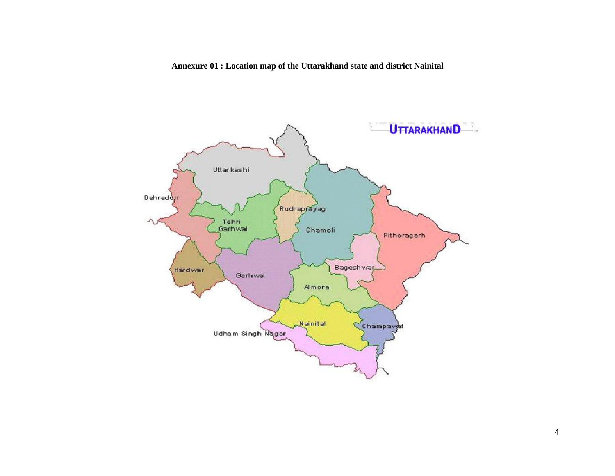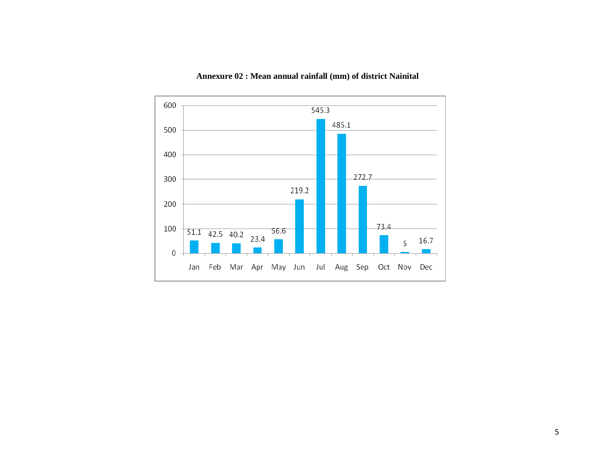

## **Annexure 02 : Mean annual rainfall (mm) of district Nainital**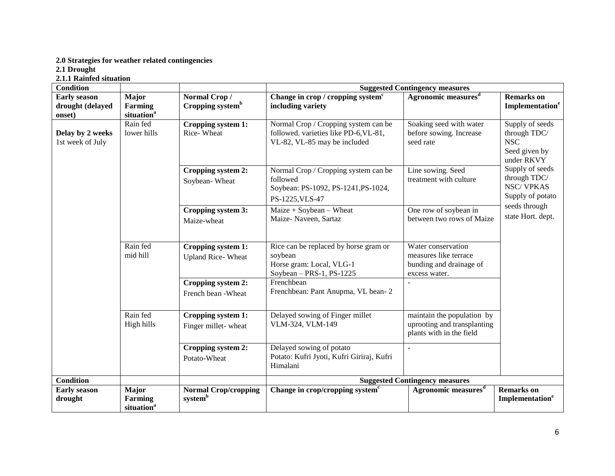#### **2.0 Strategies for weather related contingencies**

**2.1 Drought**

**2.1.1 Rainfed situation**

| <b>Condition</b>                     |                                                   |                                                    | <b>Suggested Contingency measures</b>                                                                         |                                                                                         |                                                                              |  |  |
|--------------------------------------|---------------------------------------------------|----------------------------------------------------|---------------------------------------------------------------------------------------------------------------|-----------------------------------------------------------------------------------------|------------------------------------------------------------------------------|--|--|
| <b>Early season</b>                  | Major                                             | Normal Crop/                                       | Change in crop / cropping system <sup>c</sup>                                                                 | Agronomic measures <sup>d</sup>                                                         | <b>Remarks</b> on                                                            |  |  |
| drought (delayed<br>onset)           | Farming<br>situation <sup>a</sup>                 | Cropping system <sup>b</sup>                       | including variety                                                                                             |                                                                                         | Implementation <sup>e</sup>                                                  |  |  |
| Delay by 2 weeks<br>1st week of July | Rain fed<br>lower hills                           | Cropping system 1:<br>Rice-Wheat                   | Normal Crop / Cropping system can be<br>followed. varieties like PD-6, VL-81,<br>VL-82, VL-85 may be included | Soaking seed with water<br>before sowing. Increase<br>seed rate                         | Supply of seeds<br>through TDC/<br><b>NSC</b><br>Seed given by<br>under RKVY |  |  |
|                                      |                                                   | Cropping system 2:<br>Soybean-Wheat                | Normal Crop / Cropping system can be<br>followed<br>Soybean: PS-1092, PS-1241, PS-1024,<br>PS-1225, VLS-47    | Line sowing. Seed<br>treatment with culture                                             | Supply of seeds<br>through TDC/<br><b>NSC/VPKAS</b><br>Supply of potato      |  |  |
|                                      |                                                   | Cropping system 3:<br>Maize-wheat                  | $Maize + Soybean - Wheat$<br>Maize-Naveen, Sartaz                                                             | One row of soybean in<br>between two rows of Maize                                      | seeds through<br>state Hort. dept.                                           |  |  |
|                                      | Rain fed<br>mid hill                              | Cropping system 1:<br><b>Upland Rice-Wheat</b>     | Rice can be replaced by horse gram or<br>soybean<br>Horse gram: Local, VLG-1<br>Soybean $-$ PRS-1, PS-1225    | Water conservation<br>measures like terrace<br>bunding and drainage of<br>excess water. |                                                                              |  |  |
|                                      |                                                   | Cropping system 2:<br>French bean - Wheat          | Frenchbean<br>Frenchbean: Pant Anupma, VL bean-2                                                              |                                                                                         |                                                                              |  |  |
|                                      | Rain fed<br>High hills                            | Cropping system 1:<br>Finger millet-wheat          | Delayed sowing of Finger millet<br>VLM-324, VLM-149                                                           | maintain the population by<br>uprooting and transplanting<br>plants with in the field   |                                                                              |  |  |
|                                      |                                                   | Cropping system 2:<br>Potato-Wheat                 | Delayed sowing of potato<br>Potato: Kufri Jyoti, Kufri Giriraj, Kufri<br>Himalani                             | $\sim$                                                                                  |                                                                              |  |  |
| <b>Condition</b>                     |                                                   |                                                    |                                                                                                               | <b>Suggested Contingency measures</b>                                                   |                                                                              |  |  |
| <b>Early season</b><br>drought       | Major<br><b>Farming</b><br>situation <sup>a</sup> | <b>Normal Crop/cropping</b><br>system <sup>b</sup> | Change in crop/cropping system <sup>c</sup>                                                                   | Agronomic measures <sup>d</sup>                                                         | <b>Remarks</b> on<br>Implementation <sup>e</sup>                             |  |  |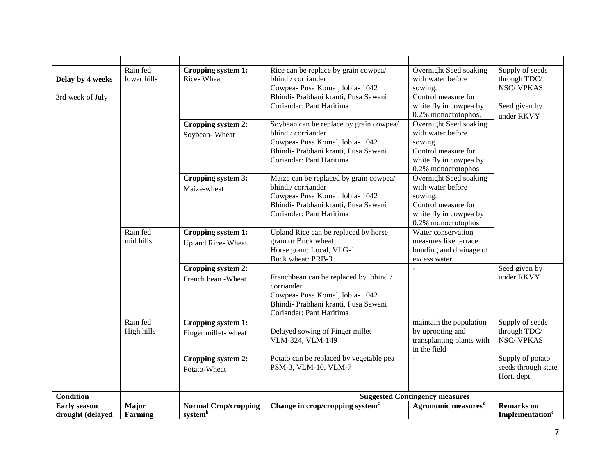| Delay by 4 weeks<br>3rd week of July    | Rain fed<br>lower hills | Cropping system 1:<br>Rice-Wheat                   | Rice can be replace by grain cowpea/<br>bhindi/corriander<br>Cowpea- Pusa Komal, lobia- 1042<br>Bhindi- Prabhani kranti, Pusa Sawani<br>Coriander: Pant Haritima    | Overnight Seed soaking<br>with water before<br>sowing.<br>Control measure for<br>white fly in cowpea by<br>0.2% monocrotophos. | Supply of seeds<br>through TDC/<br><b>NSC/VPKAS</b><br>Seed given by<br>under RKVY |
|-----------------------------------------|-------------------------|----------------------------------------------------|---------------------------------------------------------------------------------------------------------------------------------------------------------------------|--------------------------------------------------------------------------------------------------------------------------------|------------------------------------------------------------------------------------|
|                                         |                         | Cropping system 2:<br>Soybean-Wheat                | Soybean can be replace by grain cowpea/<br>bhindi/corriander<br>Cowpea- Pusa Komal, lobia- 1042<br>Bhindi- Prabhani kranti, Pusa Sawani<br>Coriander: Pant Haritima | Overnight Seed soaking<br>with water before<br>sowing.<br>Control measure for<br>white fly in cowpea by<br>0.2% monocrotophos  |                                                                                    |
|                                         |                         | Cropping system 3:<br>Maize-wheat                  | Maize can be replaced by grain cowpea/<br>bhindi/corriander<br>Cowpea- Pusa Komal, lobia- 1042<br>Bhindi- Prabhani kranti, Pusa Sawani<br>Coriander: Pant Haritima  | Overnight Seed soaking<br>with water before<br>sowing.<br>Control measure for<br>white fly in cowpea by<br>0.2% monocrotophos  |                                                                                    |
|                                         | Rain fed<br>mid hills   | Cropping system 1:<br><b>Upland Rice-Wheat</b>     | Upland Rice can be replaced by horse<br>gram or Buck wheat<br>Horse gram: Local, VLG-1<br>Buck wheat: PRB-3                                                         | Water conservation<br>measures like terrace<br>bunding and drainage of<br>excess water.                                        |                                                                                    |
|                                         |                         | Cropping system 2:<br>French bean - Wheat          | Frenchbean can be replaced by bhindi/<br>corriander<br>Cowpea- Pusa Komal, lobia- 1042<br>Bhindi- Prabhani kranti, Pusa Sawani<br>Coriander: Pant Haritima          |                                                                                                                                | Seed given by<br>under RKVY                                                        |
|                                         | Rain fed<br>High hills  | Cropping system 1:<br>Finger millet-wheat          | Delayed sowing of Finger millet<br>VLM-324, VLM-149                                                                                                                 | maintain the population<br>by uprooting and<br>transplanting plants with<br>in the field                                       | Supply of seeds<br>through TDC/<br><b>NSC/VPKAS</b>                                |
|                                         |                         | Cropping system 2:<br>Potato-Wheat                 | Potato can be replaced by vegetable pea<br>PSM-3, VLM-10, VLM-7                                                                                                     |                                                                                                                                | Supply of potato<br>seeds through state<br>Hort. dept.                             |
| <b>Condition</b>                        |                         |                                                    |                                                                                                                                                                     | <b>Suggested Contingency measures</b>                                                                                          |                                                                                    |
| <b>Early season</b><br>drought (delayed | Major<br>Farming        | <b>Normal Crop/cropping</b><br>system <sup>b</sup> | Change in crop/cropping system <sup>c</sup>                                                                                                                         | Agronomic measures <sup>d</sup>                                                                                                | <b>Remarks</b> on<br><b>Implementation<sup>e</sup></b>                             |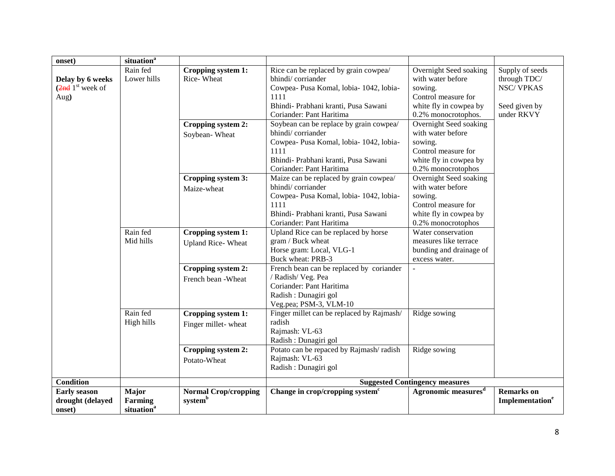| onset)                                                    | situation <sup>a</sup>                            |                                                    |                                                                                                                                                                                     |                                                                                                                                |                                                                                    |
|-----------------------------------------------------------|---------------------------------------------------|----------------------------------------------------|-------------------------------------------------------------------------------------------------------------------------------------------------------------------------------------|--------------------------------------------------------------------------------------------------------------------------------|------------------------------------------------------------------------------------|
| Delay by 6 weeks<br>$(2nd)$ <sup>st</sup> week of<br>Aug) | Rain fed<br>Lower hills                           | Cropping system 1:<br>Rice-Wheat                   | Rice can be replaced by grain cowpea/<br>bhindi/corriander<br>Cowpea- Pusa Komal, lobia- 1042, lobia-<br>1111<br>Bhindi- Prabhani kranti, Pusa Sawani<br>Coriander: Pant Haritima   | Overnight Seed soaking<br>with water before<br>sowing.<br>Control measure for<br>white fly in cowpea by<br>0.2% monocrotophos. | Supply of seeds<br>through TDC/<br><b>NSC/VPKAS</b><br>Seed given by<br>under RKVY |
|                                                           |                                                   | Cropping system 2:<br>Soybean-Wheat                | Soybean can be replace by grain cowpea/<br>bhindi/corriander<br>Cowpea- Pusa Komal, lobia- 1042, lobia-<br>1111<br>Bhindi- Prabhani kranti, Pusa Sawani<br>Coriander: Pant Haritima | Overnight Seed soaking<br>with water before<br>sowing.<br>Control measure for<br>white fly in cowpea by<br>0.2% monocrotophos  |                                                                                    |
|                                                           |                                                   | Cropping system 3:<br>Maize-wheat                  | Maize can be replaced by grain cowpea/<br>bhindi/corriander<br>Cowpea- Pusa Komal, lobia- 1042, lobia-<br>1111<br>Bhindi- Prabhani kranti, Pusa Sawani<br>Coriander: Pant Haritima  | Overnight Seed soaking<br>with water before<br>sowing.<br>Control measure for<br>white fly in cowpea by<br>0.2% monocrotophos  |                                                                                    |
|                                                           | Rain fed<br>Mid hills                             | Cropping system 1:<br><b>Upland Rice-Wheat</b>     | Upland Rice can be replaced by horse<br>gram / Buck wheat<br>Horse gram: Local, VLG-1<br>Buck wheat: PRB-3                                                                          | Water conservation<br>measures like terrace<br>bunding and drainage of<br>excess water.                                        |                                                                                    |
|                                                           |                                                   | Cropping system 2:<br>French bean -Wheat           | French bean can be replaced by coriander<br>/ Radish/ Veg. Pea<br>Coriander: Pant Haritima<br>Radish: Dunagiri gol<br>Veg.pea; PSM-3, VLM-10                                        | $\overline{\phantom{a}}$                                                                                                       |                                                                                    |
|                                                           | Rain fed<br>High hills                            | Cropping system 1:<br>Finger millet-wheat          | Finger millet can be replaced by Rajmash/<br>radish<br>Rajmash: VL-63<br>Radish : Dunagiri gol                                                                                      | Ridge sowing                                                                                                                   |                                                                                    |
|                                                           |                                                   | Cropping system 2:<br>Potato-Wheat                 | Potato can be repaced by Rajmash/radish<br>Rajmash: VL-63<br>Radish : Dunagiri gol                                                                                                  | Ridge sowing                                                                                                                   |                                                                                    |
| <b>Condition</b>                                          |                                                   |                                                    |                                                                                                                                                                                     | <b>Suggested Contingency measures</b>                                                                                          |                                                                                    |
| <b>Early season</b><br>drought (delayed<br>onset)         | Major<br><b>Farming</b><br>situation <sup>a</sup> | <b>Normal Crop/cropping</b><br>system <sup>b</sup> | Change in crop/cropping system <sup>c</sup>                                                                                                                                         | Agronomic measures <sup>d</sup>                                                                                                | <b>Remarks</b> on<br>Implementation <sup>e</sup>                                   |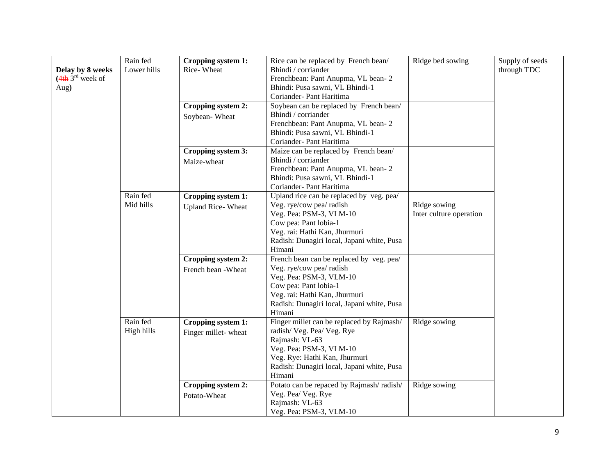| Delay by 8 weeks<br>$(4th 3rd$ week of<br>Aug) | Rain fed<br>Lower hills | Cropping system 1:<br>Rice-Wheat<br>Cropping system 2: | Rice can be replaced by French bean/<br>Bhindi / corriander<br>Frenchbean: Pant Anupma, VL bean-2<br>Bhindi: Pusa sawni, VL Bhindi-1<br>Coriander- Pant Haritima<br>Soybean can be replaced by French bean/       | Ridge bed sowing                        | Supply of seeds<br>through TDC |
|------------------------------------------------|-------------------------|--------------------------------------------------------|-------------------------------------------------------------------------------------------------------------------------------------------------------------------------------------------------------------------|-----------------------------------------|--------------------------------|
|                                                |                         | Soybean-Wheat                                          | Bhindi / corriander<br>Frenchbean: Pant Anupma, VL bean-2<br>Bhindi: Pusa sawni, VL Bhindi-1<br>Coriander- Pant Haritima                                                                                          |                                         |                                |
|                                                |                         | Cropping system 3:<br>Maize-wheat                      | Maize can be replaced by French bean/<br>Bhindi / corriander<br>Frenchbean: Pant Anupma, VL bean-2<br>Bhindi: Pusa sawni, VL Bhindi-1<br>Coriander- Pant Haritima                                                 |                                         |                                |
|                                                | Rain fed<br>Mid hills   | Cropping system 1:<br><b>Upland Rice-Wheat</b>         | Upland rice can be replaced by veg. pea/<br>Veg. rye/cow pea/ radish<br>Veg. Pea: PSM-3, VLM-10<br>Cow pea: Pant lobia-1<br>Veg. rai: Hathi Kan, Jhurmuri<br>Radish: Dunagiri local, Japani white, Pusa<br>Himani | Ridge sowing<br>Inter culture operation |                                |
|                                                |                         | Cropping system 2:<br>French bean -Wheat               | French bean can be replaced by veg. pea/<br>Veg. rye/cow pea/ radish<br>Veg. Pea: PSM-3, VLM-10<br>Cow pea: Pant lobia-1<br>Veg. rai: Hathi Kan, Jhurmuri<br>Radish: Dunagiri local, Japani white, Pusa<br>Himani |                                         |                                |
|                                                | Rain fed<br>High hills  | Cropping system 1:<br>Finger millet-wheat              | Finger millet can be replaced by Rajmash/<br>radish/Veg. Pea/Veg. Rye<br>Rajmash: VL-63<br>Veg. Pea: PSM-3, VLM-10<br>Veg. Rye: Hathi Kan, Jhurmuri<br>Radish: Dunagiri local, Japani white, Pusa<br>Himani       | Ridge sowing                            |                                |
|                                                |                         | Cropping system 2:<br>Potato-Wheat                     | Potato can be repaced by Rajmash/radish/<br>Veg. Pea/Veg. Rye<br>Rajmash: VL-63<br>Veg. Pea: PSM-3, VLM-10                                                                                                        | Ridge sowing                            |                                |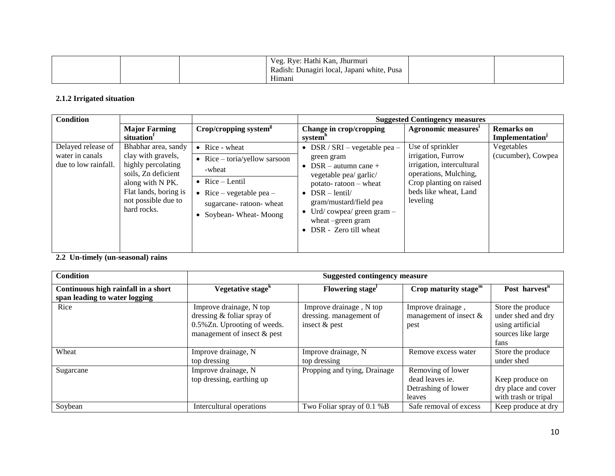|  | . Rye: Hathi Kan, .<br>Veg.<br>, Jhurmuri<br>Pusa<br>Radish: Dunagiri local, Japani white,<br>$\circ$<br>$T$ $T$ <sup>+</sup><br>Himani |  |  |
|--|-----------------------------------------------------------------------------------------------------------------------------------------|--|--|
|--|-----------------------------------------------------------------------------------------------------------------------------------------|--|--|

## **2.1.2 Irrigated situation**

| <b>Condition</b>                                              |                                                                                                                                                                           |                                                                                                                                                                                  |                                                                                                                                                                                                                                                        | <b>Suggested Contingency measures</b>                                                                                                                        |                                                  |
|---------------------------------------------------------------|---------------------------------------------------------------------------------------------------------------------------------------------------------------------------|----------------------------------------------------------------------------------------------------------------------------------------------------------------------------------|--------------------------------------------------------------------------------------------------------------------------------------------------------------------------------------------------------------------------------------------------------|--------------------------------------------------------------------------------------------------------------------------------------------------------------|--------------------------------------------------|
|                                                               | <b>Major Farming</b><br>situation                                                                                                                                         | Crop/cropping system <sup>8</sup>                                                                                                                                                | Change in crop/cropping<br>system <sup>n</sup>                                                                                                                                                                                                         | Agronomic measures                                                                                                                                           | <b>Remarks</b> on<br>Implementation <sup>J</sup> |
| Delayed release of<br>water in canals<br>due to low rainfall. | Bhabhar area, sandy<br>clay with gravels,<br>highly percolating<br>soils, Zn deficient<br>along with N PK.<br>Flat lands, boring is<br>not possible due to<br>hard rocks. | $\bullet$ Rice - wheat<br>$Rice - toria/yellow$ sarsoon<br>$\bullet$<br>-wheat<br>• Rice $-$ Lentil<br>• Rice – vegetable pea –<br>sugarcane-ratoon-wheat<br>Soybean-Wheat-Moong | • DSR / SRI – vegetable pea –<br>green gram<br>• DSR – autumn cane +<br>vegetable pea/ garlic/<br>potato-ratoon - wheat<br>• $DSR - lentil/$<br>gram/mustard/field pea<br>• Urd/cowpea/ green gram $-$<br>wheat -green gram<br>• DSR - Zero till wheat | Use of sprinkler<br>irrigation, Furrow<br>irrigation, intercultural<br>operations, Mulching,<br>Crop planting on raised<br>beds like wheat, Land<br>leveling | Vegetables<br>(cucumber), Cowpea                 |

**2.2 Un-timely (un-seasonal) rains** 

| <b>Condition</b>                    | <b>Suggested contingency measure</b> |                              |                           |                           |
|-------------------------------------|--------------------------------------|------------------------------|---------------------------|---------------------------|
| Continuous high rainfall in a short | Vegetative stage <sup>k</sup>        | Flowering stage <sup>1</sup> | Crop maturity stage $m$   | Post harvest <sup>n</sup> |
| span leading to water logging       |                                      |                              |                           |                           |
| Rice                                | Improve drainage, N top              | Improve drainage, N top      | Improve drainage,         | Store the produce         |
|                                     | dressing & foliar spray of           | dressing. management of      | management of insect $\&$ | under shed and dry        |
|                                     | 0.5% Zn. Uprooting of weeds.         | insect $&$ pest              | pest                      | using artificial          |
|                                     | management of insect & pest          |                              |                           | sources like large        |
|                                     |                                      |                              |                           | fans                      |
| Wheat                               | Improve drainage, N                  | Improve drainage, N          | Remove excess water       | Store the produce         |
|                                     | top dressing                         | top dressing                 |                           | under shed                |
| Sugarcane                           | Improve drainage, N                  | Propping and tying, Drainage | Removing of lower         |                           |
|                                     | top dressing, earthing up            |                              | dead leaves ie.           | Keep produce on           |
|                                     |                                      |                              | Detrashing of lower       | dry place and cover       |
|                                     |                                      |                              | leaves                    | with trash or tripal      |
| Soybean                             | Intercultural operations             | Two Foliar spray of 0.1 %B   | Safe removal of excess    | Keep produce at dry       |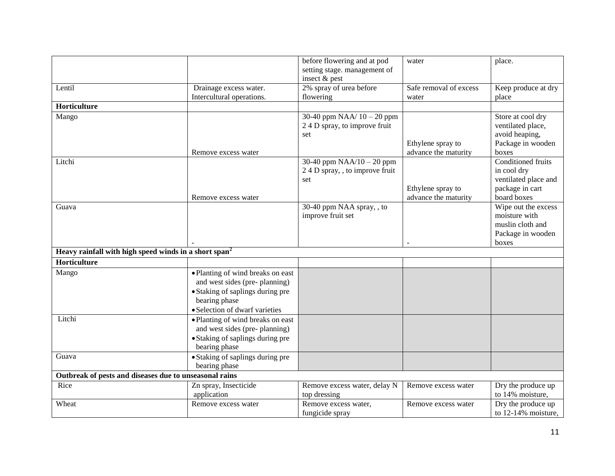|                                                                   |                                   | before flowering and at pod    | water                  | place.                    |
|-------------------------------------------------------------------|-----------------------------------|--------------------------------|------------------------|---------------------------|
|                                                                   |                                   | setting stage. management of   |                        |                           |
|                                                                   |                                   | insect & pest                  |                        |                           |
| Lentil                                                            | Drainage excess water.            | 2% spray of urea before        | Safe removal of excess | Keep produce at dry       |
|                                                                   | Intercultural operations.         | flowering                      | water                  | place                     |
| Horticulture                                                      |                                   |                                |                        |                           |
| Mango                                                             |                                   | 30-40 ppm $NAA/10 - 20$ ppm    |                        | Store at cool dry         |
|                                                                   |                                   | 24 D spray, to improve fruit   |                        | ventilated place,         |
|                                                                   |                                   | set                            |                        | avoid heaping,            |
|                                                                   |                                   |                                | Ethylene spray to      | Package in wooden         |
|                                                                   | Remove excess water               |                                | advance the maturity   | boxes                     |
| Litchi                                                            |                                   | 30-40 ppm $NAA/10 - 20$ ppm    |                        | <b>Conditioned fruits</b> |
|                                                                   |                                   | 24 D spray, , to improve fruit |                        | in cool dry               |
|                                                                   |                                   | set                            |                        | ventilated place and      |
|                                                                   |                                   |                                | Ethylene spray to      | package in cart           |
|                                                                   | Remove excess water               |                                | advance the maturity   | board boxes               |
| Guava                                                             |                                   | 30-40 ppm NAA spray, , to      |                        | Wipe out the excess       |
|                                                                   |                                   | improve fruit set              |                        | moisture with             |
|                                                                   |                                   |                                |                        | muslin cloth and          |
|                                                                   |                                   |                                |                        | Package in wooden         |
|                                                                   |                                   |                                |                        | boxes                     |
| Heavy rainfall with high speed winds in a short span <sup>2</sup> |                                   |                                |                        |                           |
| Horticulture                                                      |                                   |                                |                        |                           |
| Mango                                                             | • Planting of wind breaks on east |                                |                        |                           |
|                                                                   | and west sides (pre-planning)     |                                |                        |                           |
|                                                                   | • Staking of saplings during pre  |                                |                        |                           |
|                                                                   | bearing phase                     |                                |                        |                           |
|                                                                   | · Selection of dwarf varieties    |                                |                        |                           |
| Litchi                                                            | • Planting of wind breaks on east |                                |                        |                           |
|                                                                   | and west sides (pre-planning)     |                                |                        |                           |
|                                                                   | • Staking of saplings during pre  |                                |                        |                           |
|                                                                   | bearing phase                     |                                |                        |                           |
| Guava                                                             | • Staking of saplings during pre  |                                |                        |                           |
|                                                                   | bearing phase                     |                                |                        |                           |
| Outbreak of pests and diseases due to unseasonal rains            |                                   |                                |                        |                           |
| Rice                                                              | Zn spray, Insecticide             | Remove excess water, delay N   | Remove excess water    | Dry the produce up        |
|                                                                   | application                       | top dressing                   |                        | to 14% moisture,          |
| Wheat                                                             | Remove excess water               | Remove excess water,           | Remove excess water    | Dry the produce up        |
|                                                                   |                                   | fungicide spray                |                        | to 12-14% moisture,       |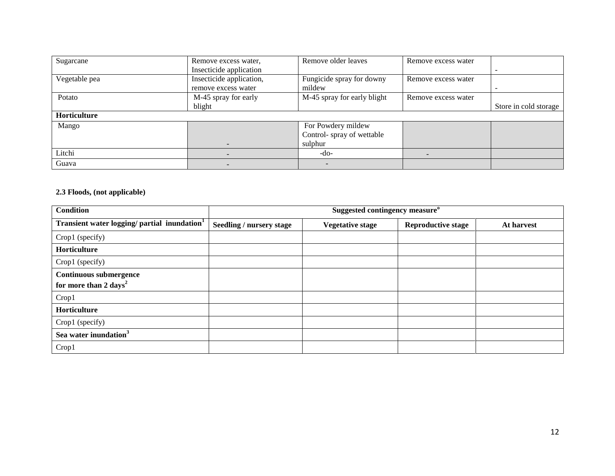| Sugarcane     | Remove excess water,     | Remove older leaves         | Remove excess water |                       |
|---------------|--------------------------|-----------------------------|---------------------|-----------------------|
|               | Insecticide application  |                             |                     |                       |
| Vegetable pea | Insecticide application, | Fungicide spray for downy   | Remove excess water |                       |
|               | remove excess water      | mildew                      |                     |                       |
| Potato        | M-45 spray for early     | M-45 spray for early blight | Remove excess water |                       |
|               | blight                   |                             |                     | Store in cold storage |
| Horticulture  |                          |                             |                     |                       |
| Mango         |                          | For Powdery mildew          |                     |                       |
|               |                          | Control-spray of wettable   |                     |                       |
|               |                          | sulphur                     |                     |                       |
| Litchi        |                          | -do-                        |                     |                       |
| Guava         |                          | -                           |                     |                       |

### **2.3 Floods, (not applicable)**

| <b>Condition</b>                                                   |                                 | Suggested contingency measure <sup>o</sup> |                           |            |  |
|--------------------------------------------------------------------|---------------------------------|--------------------------------------------|---------------------------|------------|--|
| Transient water logging/ partial inundation <sup>1</sup>           | <b>Seedling / nursery stage</b> | <b>Vegetative stage</b>                    | <b>Reproductive stage</b> | At harvest |  |
| Crop1 (specify)                                                    |                                 |                                            |                           |            |  |
| Horticulture                                                       |                                 |                                            |                           |            |  |
| Crop1 (specify)                                                    |                                 |                                            |                           |            |  |
| <b>Continuous submergence</b><br>for more than 2 days <sup>2</sup> |                                 |                                            |                           |            |  |
| Crop1                                                              |                                 |                                            |                           |            |  |
| Horticulture                                                       |                                 |                                            |                           |            |  |
| Crop1 (specify)                                                    |                                 |                                            |                           |            |  |
| Sea water inundation <sup>3</sup>                                  |                                 |                                            |                           |            |  |
| Crop1                                                              |                                 |                                            |                           |            |  |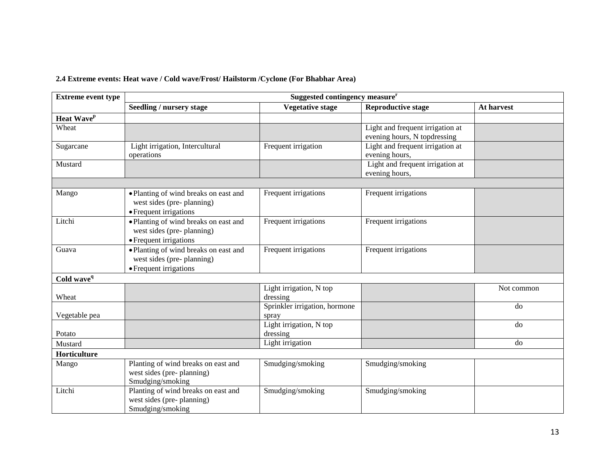## **2.4 Extreme events: Heat wave / Cold wave/Frost/ Hailstorm /Cyclone (For Bhabhar Area)**

| <b>Extreme event type</b> | Suggested contingency measure <sup>r</sup>                                                   |                                        |                                                                  |            |  |
|---------------------------|----------------------------------------------------------------------------------------------|----------------------------------------|------------------------------------------------------------------|------------|--|
|                           | <b>Seedling / nursery stage</b>                                                              | <b>Vegetative stage</b>                | <b>Reproductive stage</b>                                        | At harvest |  |
| Heat Wave <sup>p</sup>    |                                                                                              |                                        |                                                                  |            |  |
| Wheat                     |                                                                                              |                                        | Light and frequent irrigation at<br>evening hours, N topdressing |            |  |
| Sugarcane                 | Light irrigation, Intercultural<br>operations                                                | Frequent irrigation                    | Light and frequent irrigation at<br>evening hours,               |            |  |
| Mustard                   |                                                                                              |                                        | Light and frequent irrigation at<br>evening hours,               |            |  |
|                           |                                                                                              |                                        |                                                                  |            |  |
| Mango                     | • Planting of wind breaks on east and<br>west sides (pre-planning)<br>• Frequent irrigations | Frequent irrigations                   | Frequent irrigations                                             |            |  |
| Litchi                    | • Planting of wind breaks on east and<br>west sides (pre-planning)<br>• Frequent irrigations | Frequent irrigations                   | Frequent irrigations                                             |            |  |
| Guava                     | • Planting of wind breaks on east and<br>west sides (pre-planning)<br>• Frequent irrigations | Frequent irrigations                   | Frequent irrigations                                             |            |  |
| Cold wave <sup>q</sup>    |                                                                                              |                                        |                                                                  |            |  |
| Wheat                     |                                                                                              | Light irrigation, N top<br>dressing    |                                                                  | Not common |  |
| Vegetable pea             |                                                                                              | Sprinkler irrigation, hormone<br>spray |                                                                  | do         |  |
| Potato                    |                                                                                              | Light irrigation, N top<br>dressing    |                                                                  | do         |  |
| Mustard                   |                                                                                              | Light irrigation                       |                                                                  | do         |  |
| Horticulture              |                                                                                              |                                        |                                                                  |            |  |
| Mango                     | Planting of wind breaks on east and<br>west sides (pre-planning)<br>Smudging/smoking         | Smudging/smoking                       | Smudging/smoking                                                 |            |  |
| Litchi                    | Planting of wind breaks on east and<br>west sides (pre-planning)<br>Smudging/smoking         | Smudging/smoking                       | Smudging/smoking                                                 |            |  |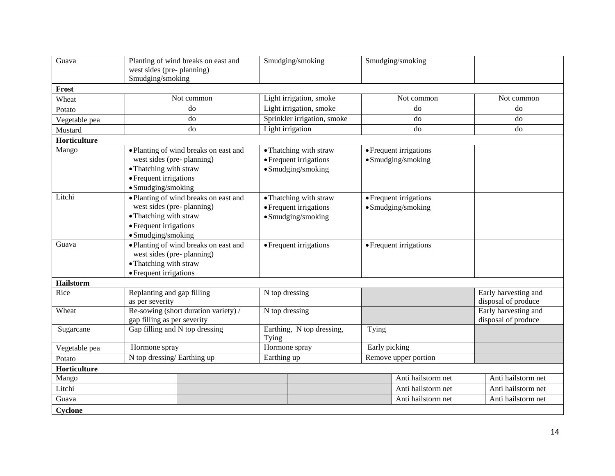| Guava            | Planting of wind breaks on east and<br>west sides (pre-planning)<br>Smudging/smoking                                                         | Smudging/smoking                                                       | Smudging/smoking                             |                                             |
|------------------|----------------------------------------------------------------------------------------------------------------------------------------------|------------------------------------------------------------------------|----------------------------------------------|---------------------------------------------|
| Frost            |                                                                                                                                              |                                                                        |                                              |                                             |
| Wheat            | Not common                                                                                                                                   | Light irrigation, smoke                                                | Not common                                   | Not common                                  |
| Potato           | do                                                                                                                                           | Light irrigation, smoke                                                | do                                           | do                                          |
| Vegetable pea    | do                                                                                                                                           | Sprinkler irrigation, smoke                                            | do                                           | do                                          |
| Mustard          | do                                                                                                                                           | Light irrigation                                                       | do                                           | do                                          |
| Horticulture     |                                                                                                                                              |                                                                        |                                              |                                             |
| Mango            | • Planting of wind breaks on east and<br>west sides (pre-planning)<br>• Thatching with straw<br>• Frequent irrigations<br>· Smudging/smoking | • Thatching with straw<br>• Frequent irrigations<br>• Smudging/smoking | • Frequent irrigations<br>• Smudging/smoking |                                             |
| Litchi           | • Planting of wind breaks on east and<br>west sides (pre-planning)<br>• Thatching with straw<br>• Frequent irrigations<br>• Smudging/smoking | • Thatching with straw<br>• Frequent irrigations<br>• Smudging/smoking | • Frequent irrigations<br>• Smudging/smoking |                                             |
| Guava            | • Planting of wind breaks on east and<br>west sides (pre-planning)<br>· Thatching with straw<br>• Frequent irrigations                       | $\overline{\bullet}$ Frequent irrigations                              | • Frequent irrigations                       |                                             |
| <b>Hailstorm</b> |                                                                                                                                              |                                                                        |                                              |                                             |
| Rice             | Replanting and gap filling<br>as per severity                                                                                                | N top dressing                                                         |                                              | Early harvesting and<br>disposal of produce |
| Wheat            | Re-sowing (short duration variety) /<br>gap filling as per severity                                                                          | N top dressing                                                         |                                              | Early harvesting and<br>disposal of produce |
| Sugarcane        | Gap filling and N top dressing                                                                                                               | Earthing, N top dressing,<br>Tying                                     | Tying                                        |                                             |
| Vegetable pea    | Hormone spray                                                                                                                                | Hormone spray                                                          | Early picking                                |                                             |
| Potato           | N top dressing/Earthing up                                                                                                                   | Earthing up                                                            | Remove upper portion                         |                                             |
| Horticulture     |                                                                                                                                              |                                                                        |                                              |                                             |
| Mango            |                                                                                                                                              |                                                                        | Anti hailstorm net                           | Anti hailstorm net                          |
| Litchi           |                                                                                                                                              |                                                                        | Anti hailstorm net                           | Anti hailstorm net                          |
| Guava            |                                                                                                                                              |                                                                        | Anti hailstorm net                           | Anti hailstorm net                          |
| <b>Cyclone</b>   |                                                                                                                                              |                                                                        |                                              |                                             |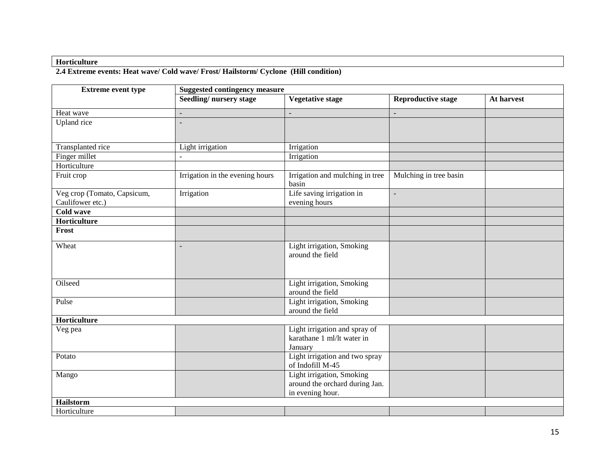#### **Horticulture**

#### **2.4 Extreme events: Heat wave/ Cold wave/ Frost/ Hailstorm/ Cyclone (Hill condition)**

| <b>Extreme event type</b>   | <b>Suggested contingency measure</b> |                                          |                           |            |
|-----------------------------|--------------------------------------|------------------------------------------|---------------------------|------------|
|                             | Seedling/nursery stage               | <b>Vegetative stage</b>                  | <b>Reproductive stage</b> | At harvest |
| Heat wave                   |                                      |                                          |                           |            |
| Upland rice                 |                                      |                                          |                           |            |
|                             |                                      |                                          |                           |            |
| Transplanted rice           | Light irrigation                     | Irrigation                               |                           |            |
| Finger millet               |                                      | Irrigation                               |                           |            |
| Horticulture                |                                      |                                          |                           |            |
| Fruit crop                  | Irrigation in the evening hours      | Irrigation and mulching in tree<br>basin | Mulching in tree basin    |            |
| Veg crop (Tomato, Capsicum, | Irrigation                           | Life saving irrigation in                | $\overline{a}$            |            |
| Caulifower etc.)            |                                      | evening hours                            |                           |            |
| <b>Cold wave</b>            |                                      |                                          |                           |            |
| Horticulture                |                                      |                                          |                           |            |
| Frost                       |                                      |                                          |                           |            |
| Wheat                       | $\overline{a}$                       | Light irrigation, Smoking                |                           |            |
|                             |                                      | around the field                         |                           |            |
|                             |                                      |                                          |                           |            |
|                             |                                      |                                          |                           |            |
| Oilseed                     |                                      | Light irrigation, Smoking                |                           |            |
|                             |                                      | around the field                         |                           |            |
| Pulse                       |                                      | Light irrigation, Smoking                |                           |            |
|                             |                                      | around the field                         |                           |            |
| Horticulture                |                                      |                                          |                           |            |
| Veg pea                     |                                      | Light irrigation and spray of            |                           |            |
|                             |                                      | karathane 1 ml/lt water in               |                           |            |
|                             |                                      | January                                  |                           |            |
| Potato                      |                                      | Light irrigation and two spray           |                           |            |
|                             |                                      | of Indofill M-45                         |                           |            |
| Mango                       |                                      | Light irrigation, Smoking                |                           |            |
|                             |                                      | around the orchard during Jan.           |                           |            |
|                             |                                      | in evening hour.                         |                           |            |
| <b>Hailstorm</b>            |                                      |                                          |                           |            |
| Horticulture                |                                      |                                          |                           |            |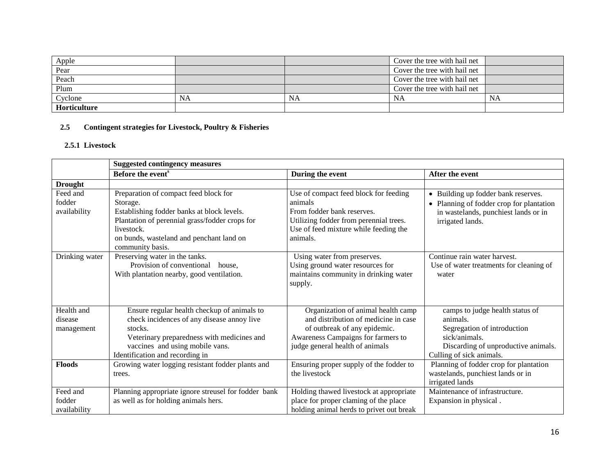| Apple        |           |    | Cover the tree with hail net |           |
|--------------|-----------|----|------------------------------|-----------|
| Pear         |           |    | Cover the tree with hail net |           |
| Peach        |           |    | Cover the tree with hail net |           |
| Plum         |           |    | Cover the tree with hail net |           |
| Cyclone      | <b>NA</b> | NA | NA                           | <b>NA</b> |
| Horticulture |           |    |                              |           |

## **2.5 Contingent strategies for Livestock, Poultry & Fisheries**

#### **2.5.1 Livestock**

|                                     | <b>Suggested contingency measures</b>                                                                                                                                                                                           |                                                                                                                                                                                     |                                                                                                                                                                |
|-------------------------------------|---------------------------------------------------------------------------------------------------------------------------------------------------------------------------------------------------------------------------------|-------------------------------------------------------------------------------------------------------------------------------------------------------------------------------------|----------------------------------------------------------------------------------------------------------------------------------------------------------------|
|                                     | Before the event <sup>s</sup>                                                                                                                                                                                                   | During the event                                                                                                                                                                    | After the event                                                                                                                                                |
| <b>Drought</b>                      |                                                                                                                                                                                                                                 |                                                                                                                                                                                     |                                                                                                                                                                |
| Feed and<br>fodder<br>availability  | Preparation of compact feed block for<br>Storage.<br>Establishing fodder banks at block levels.<br>Plantation of perennial grass/fodder crops for<br>livestock.<br>on bunds, wasteland and penchant land on<br>community basis. | Use of compact feed block for feeding<br>animals<br>From fodder bank reserves.<br>Utilizing fodder from perennial trees.<br>Use of feed mixture while feeding the<br>animals.       | Building up fodder bank reserves.<br>$\bullet$<br>• Planning of fodder crop for plantation<br>in wastelands, punchiest lands or in<br>irrigated lands.         |
| Drinking water                      | Preserving water in the tanks.<br>Provision of conventional<br>house.<br>With plantation nearby, good ventilation.                                                                                                              | Using water from preserves.<br>Using ground water resources for<br>maintains community in drinking water<br>supply.                                                                 | Continue rain water harvest.<br>Use of water treatments for cleaning of<br>water                                                                               |
| Health and<br>disease<br>management | Ensure regular health checkup of animals to<br>check incidences of any disease annoy live<br>stocks.<br>Veterinary preparedness with medicines and<br>vaccines and using mobile vans.<br>Identification and recording in        | Organization of animal health camp<br>and distribution of medicine in case<br>of outbreak of any epidemic.<br>Awareness Campaigns for farmers to<br>judge general health of animals | camps to judge health status of<br>animals.<br>Segregation of introduction<br>sick/animals.<br>Discarding of unproductive animals.<br>Culling of sick animals. |
| <b>Floods</b>                       | Growing water logging resistant fodder plants and<br>trees.                                                                                                                                                                     | Ensuring proper supply of the fodder to<br>the livestock                                                                                                                            | Planning of fodder crop for plantation<br>wastelands, punchiest lands or in<br>irrigated lands                                                                 |
| Feed and<br>fodder<br>availability  | Planning appropriate ignore streusel for fodder bank<br>as well as for holding animals hers.                                                                                                                                    | Holding thawed livestock at appropriate<br>place for proper claming of the place<br>holding animal herds to privet out break                                                        | Maintenance of infrastructure.<br>Expansion in physical.                                                                                                       |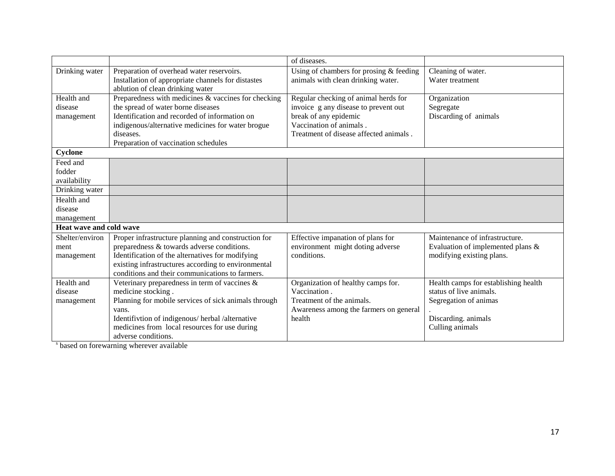|                         |                                                      | of diseases.                            |                                      |
|-------------------------|------------------------------------------------------|-----------------------------------------|--------------------------------------|
|                         |                                                      |                                         |                                      |
| Drinking water          | Preparation of overhead water reservoirs.            | Using of chambers for prosing & feeding | Cleaning of water.                   |
|                         | Installation of appropriate channels for distastes   | animals with clean drinking water.      | Water treatment                      |
|                         | ablution of clean drinking water                     |                                         |                                      |
| Health and              | Preparedness with medicines & vaccines for checking  | Regular checking of animal herds for    | Organization                         |
| disease                 | the spread of water borne diseases                   | invoice g any disease to prevent out    | Segregate                            |
| management              | Identification and recorded of information on        | break of any epidemic                   | Discarding of animals                |
|                         | indigenous/alternative medicines for water brogue    | Vaccination of animals.                 |                                      |
|                         | diseases.                                            | Treatment of disease affected animals.  |                                      |
|                         | Preparation of vaccination schedules                 |                                         |                                      |
| Cyclone                 |                                                      |                                         |                                      |
| Feed and                |                                                      |                                         |                                      |
| fodder                  |                                                      |                                         |                                      |
| availability            |                                                      |                                         |                                      |
| Drinking water          |                                                      |                                         |                                      |
| Health and              |                                                      |                                         |                                      |
| disease                 |                                                      |                                         |                                      |
| management              |                                                      |                                         |                                      |
| Heat wave and cold wave |                                                      |                                         |                                      |
| Shelter/environ         | Proper infrastructure planning and construction for  | Effective impanation of plans for       | Maintenance of infrastructure.       |
| ment                    | preparedness & towards adverse conditions.           | environment might doting adverse        | Evaluation of implemented plans &    |
| management              | Identification of the alternatives for modifying     | conditions.                             | modifying existing plans.            |
|                         | existing infrastructures according to environmental  |                                         |                                      |
|                         | conditions and their communications to farmers.      |                                         |                                      |
| Health and              | Veterinary preparedness in term of vaccines &        | Organization of healthy camps for.      | Health camps for establishing health |
| disease                 | medicine stocking.                                   | Vaccination.                            | status of live animals.              |
| management              | Planning for mobile services of sick animals through | Treatment of the animals.               | Segregation of animas                |
|                         | vans.                                                | Awareness among the farmers on general  |                                      |
|                         | Identifivtion of indigenous/herbal/alternative       | health                                  | Discarding. animals                  |
|                         | medicines from local resources for use during        |                                         | Culling animals                      |
|                         | adverse conditions.                                  |                                         |                                      |

<sup>s</sup> based on forewarning wherever available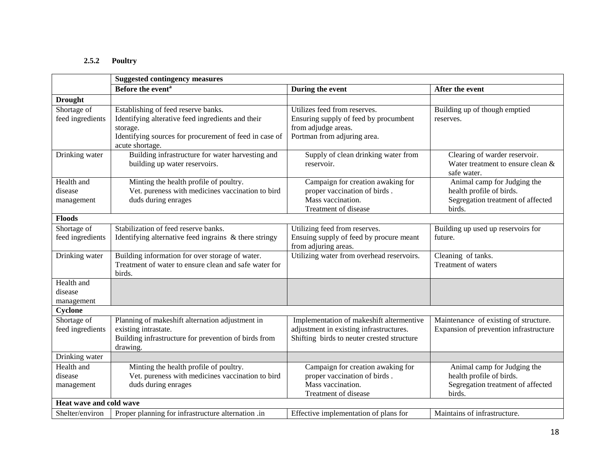## **2.5.2 Poultry**

|                                     | <b>Suggested contingency measures</b>                                                                                                                                             |                                                                                                                                   |                                                                                                        |  |  |
|-------------------------------------|-----------------------------------------------------------------------------------------------------------------------------------------------------------------------------------|-----------------------------------------------------------------------------------------------------------------------------------|--------------------------------------------------------------------------------------------------------|--|--|
|                                     | Before the event <sup>a</sup>                                                                                                                                                     | During the event                                                                                                                  | After the event                                                                                        |  |  |
| <b>Drought</b>                      |                                                                                                                                                                                   |                                                                                                                                   |                                                                                                        |  |  |
| Shortage of<br>feed ingredients     | Establishing of feed reserve banks.<br>Identifying alterative feed ingredients and their<br>storage.<br>Identifying sources for procurement of feed in case of<br>acute shortage. | Utilizes feed from reserves.<br>Ensuring supply of feed by procumbent<br>from adjudge areas.<br>Portman from adjuring area.       | Building up of though emptied<br>reserves.                                                             |  |  |
| Drinking water                      | Building infrastructure for water harvesting and<br>building up water reservoirs.                                                                                                 | Supply of clean drinking water from<br>reservoir.                                                                                 | Clearing of warder reservoir.<br>Water treatment to ensure clean &<br>safe water.                      |  |  |
| Health and<br>disease<br>management | Minting the health profile of poultry.<br>Vet. pureness with medicines vaccination to bird<br>duds during enrages                                                                 | Campaign for creation awaking for<br>proper vaccination of birds.<br>Mass vaccination.<br>Treatment of disease                    | Animal camp for Judging the<br>health profile of birds.<br>Segregation treatment of affected<br>birds. |  |  |
| <b>Floods</b>                       |                                                                                                                                                                                   |                                                                                                                                   |                                                                                                        |  |  |
| Shortage of<br>feed ingredients     | Stabilization of feed reserve banks.<br>Identifying alternative feed ingrains & there stringy                                                                                     | Utilizing feed from reserves.<br>Ensuing supply of feed by procure meant<br>from adjuring areas.                                  | Building up used up reservoirs for<br>future.                                                          |  |  |
| Drinking water                      | Building information for over storage of water.<br>Treatment of water to ensure clean and safe water for<br>birds.                                                                | Utilizing water from overhead reservoirs.                                                                                         | Cleaning of tanks.<br>Treatment of waters                                                              |  |  |
| Health and<br>disease<br>management |                                                                                                                                                                                   |                                                                                                                                   |                                                                                                        |  |  |
| Cyclone                             |                                                                                                                                                                                   |                                                                                                                                   |                                                                                                        |  |  |
| Shortage of<br>feed ingredients     | Planning of makeshift alternation adjustment in<br>existing intrastate.<br>Building infrastructure for prevention of birds from<br>drawing.                                       | Implementation of makeshift altermentive<br>adjustment in existing infrastructures.<br>Shifting birds to neuter crested structure | Maintenance of existing of structure.<br>Expansion of prevention infrastructure                        |  |  |
| Drinking water                      |                                                                                                                                                                                   |                                                                                                                                   |                                                                                                        |  |  |
| Health and<br>disease<br>management | Minting the health profile of poultry.<br>Vet. pureness with medicines vaccination to bird<br>duds during enrages                                                                 | Campaign for creation awaking for<br>proper vaccination of birds.<br>Mass vaccination.<br>Treatment of disease                    | Animal camp for Judging the<br>health profile of birds.<br>Segregation treatment of affected<br>birds. |  |  |
| Heat wave and cold wave             |                                                                                                                                                                                   |                                                                                                                                   |                                                                                                        |  |  |
| Shelter/environ                     | Proper planning for infrastructure alternation .in                                                                                                                                | Effective implementation of plans for                                                                                             | Maintains of infrastructure.                                                                           |  |  |